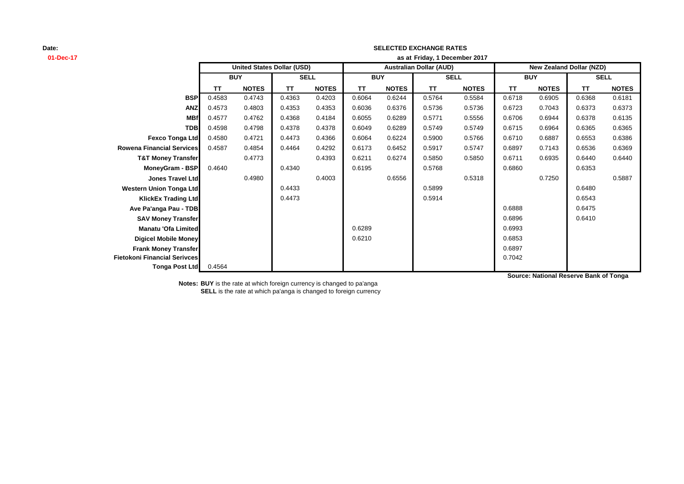## **01-Dec-17 as at TT NOTES TT NOTES TT NOTES TT NOTES TT NOTES TT NOTES BSP** 0.4583 0.4743 0.4363 0.4203 0.6064 0.6244 0.5764 0.5584 0.6718 0.6905 0.6368 0.6181 **ANZ** 0.4573 0.4803 0.4353 0.4353 0.6036 0.6376 0.5736 0.5736 0.6723 0.7043 0.6373 0.6373 **MBf** 0.4577 0.4762 0.4368 0.4184 0.6055 0.6289 0.5771 0.5556 0.6706 0.6944 0.6378 0.6135 **TDB** 0.4598 0.4798 0.4378 0.4378 0.6049 0.6289 0.5749 0.5749 0.6715 0.6964 0.6365 0.6365 **Fexco Tonga Ltd** 0.4580 0.4721 0.4473 0.4366 0.6064 0.6224 0.5900 0.5766 0.6710 0.6887 0.6553 0.6386 **Rowena Financial Services** 0.4587 0.4854 0.4464 0.4292 0.6173 0.6452 0.5917 0.5747 0.6897 0.7143 0.6536 0.6369 **T&T Money Transfer** 0.4773 0.4393 0.6211 0.6274 0.5850 0.5850 0.6711 0.6935 0.6440 0.6440 **MoneyGram - BSP** 0.4640 0.4340 0.6195 0.5768 0.6860 0.6353 **Jones Travel Ltd** 0.4980 0.4003 0.6556 0.5318 0.7250 0.5887 **Western Union Tonga Ltd 1.6480 0.4433** 0.4433 0.5899 0.5899 0.5899 0.6480 **KlickEx Trading Ltd** 0.4473 0.5914 0.6543 **Ave Pa'anga Pau - TDB** 0.6475 **SAV Money Transfer** 0.6896 0.6410 **Manatu 'Ofa Limited** 0.6289 0.6993 **Digicel Mobile Money** 0.6853 **Frank Money Transfer** 0.6897 **Fietokoni Financial Serivces** 0.7042 **Tonga Post Ltd** 0.4564 **SELL United States Dollar (USD) Australian Dollar (AUD) New Zealand Dollar (NZD) BUY SELL BUY SELL BUY Friday, 1 December 2017**

**SELECTED EXCHANGE RATES**

**Source: National Reserve Bank of Tonga**

**Notes: BUY** is the rate at which foreign currency is changed to pa'anga **SELL** is the rate at which pa'anga is changed to foreign currency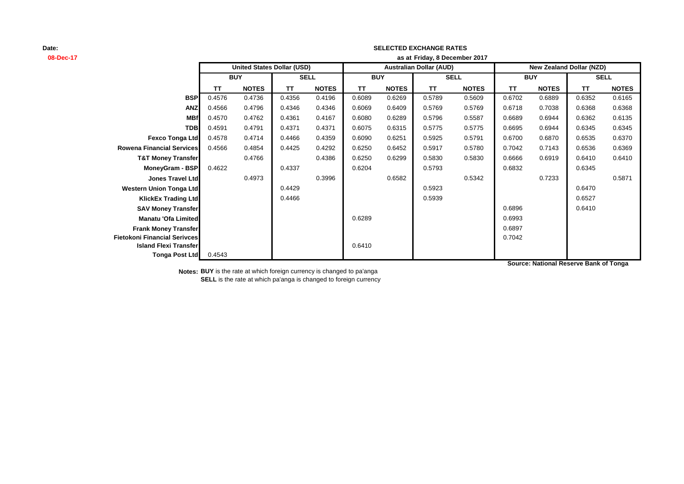## **08-Dec-17 as at TT NOTES TT NOTES TT NOTES TT NOTES TT NOTES TT NOTES BSP** 0.4576 0.4736 0.4356 0.4196 0.6089 0.6269 0.5789 0.5609 0.6702 0.6889 0.6352 0.6165 **ANZ** 0.4566 0.4796 0.4346 0.4346 0.6069 0.6409 0.5769 0.5769 0.6718 0.7038 0.6368 0.6368 **MBf** 0.4570 0.4762 0.4361 0.4167 0.6080 0.6289 0.5796 0.5587 0.6689 0.6944 0.6362 0.6135 **TDB** 0.4591 0.4791 0.4371 0.4371 0.6075 0.6315 0.5775 0.5775 0.6695 0.6944 0.6345 0.6345 **Fexco Tonga Ltd** 0.4578 0.4714 0.4466 0.4359 0.6090 0.6251 0.5925 0.5791 0.6700 0.6870 0.6535 0.6370 **Rowena Financial Services** 0.4566 0.4854 0.4425 0.4292 0.6250 0.6452 0.5917 0.5780 0.7042 0.7143 0.6536 0.6369 **T&T Money Transfer 0.4766 0.4386 0.6250 0.6299 0.5830 0.6830 0.6666 0.6919 0.6410 0.6410 MoneyGram - BSP|** 0.4622 0.4337 0.6204 0.6204 0.5793 0.6832 0.6832 0.6345 **Jones Travel Ltd** 0.4973 0.3996 0.6582 0.5342 0.7233 0.5871 **Western Union Tonga Ltd 1.6470 1.6470 1.6470 1.6470 1.6470 1.6470 1.6470 1.6470 1.6470 1.6470 KlickEx Trading Ltd** 0.4466 0.5939 0.6527 **SAV Money Transfer Department of the CONSTANT OF CONSTANT OF A SAV Money Transfer 0.6410** 0.6410 **Manatu 'Ofa Limited** 0.6993 **Frank Money Transfer** 0.6897 **Fietokoni Financial Serivces** 0.7042 **Island Flexi Transfer** 0.6410 **Tonga Post Ltd** 0.4543 **SELL United States Dollar (USD) Australian Dollar (AUD) New Zealand Dollar (NZD) BUY SELL BUY SELL BUY Friday, 8 December 2017**

**SELECTED EXCHANGE RATES**

**Source: National Reserve Bank of Tonga**

**Notes: BUY** is the rate at which foreign currency is changed to pa'anga **SELL** is the rate at which pa'anga is changed to foreign currency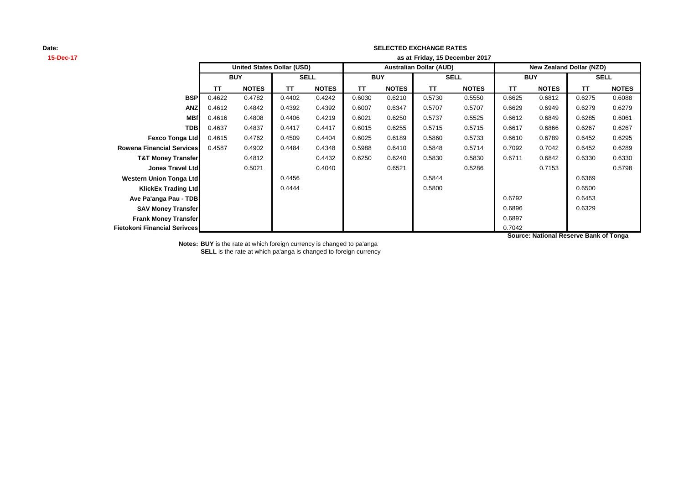### **SELECTED EXCHANGE RATES**

| 15-Dec-17                           |                                   | as at Friday, 15 December 2017 |           |              |                                |              |           |              |                                 |              |        |              |  |
|-------------------------------------|-----------------------------------|--------------------------------|-----------|--------------|--------------------------------|--------------|-----------|--------------|---------------------------------|--------------|--------|--------------|--|
|                                     | <b>United States Dollar (USD)</b> |                                |           |              | <b>Australian Dollar (AUD)</b> |              |           |              | <b>New Zealand Dollar (NZD)</b> |              |        |              |  |
|                                     |                                   | <b>BUY</b>                     |           | <b>SELL</b>  |                                | <b>BUY</b>   |           | <b>SELL</b>  |                                 | <b>BUY</b>   |        | <b>SELL</b>  |  |
|                                     | ΤT                                | <b>NOTES</b>                   | <b>TT</b> | <b>NOTES</b> | <b>TT</b>                      | <b>NOTES</b> | <b>TT</b> | <b>NOTES</b> | <b>TT</b>                       | <b>NOTES</b> | TT     | <b>NOTES</b> |  |
|                                     | <b>BSP</b><br>0.4622              | 0.4782                         | 0.4402    | 0.4242       | 0.6030                         | 0.6210       | 0.5730    | 0.5550       | 0.6625                          | 0.6812       | 0.6275 | 0.6088       |  |
|                                     | <b>ANZ</b><br>0.4612              | 0.4842                         | 0.4392    | 0.4392       | 0.6007                         | 0.6347       | 0.5707    | 0.5707       | 0.6629                          | 0.6949       | 0.6279 | 0.6279       |  |
|                                     | <b>MBf</b><br>0.4616              | 0.4808                         | 0.4406    | 0.4219       | 0.6021                         | 0.6250       | 0.5737    | 0.5525       | 0.6612                          | 0.6849       | 0.6285 | 0.6061       |  |
|                                     | <b>TDB</b><br>0.4637              | 0.4837                         | 0.4417    | 0.4417       | 0.6015                         | 0.6255       | 0.5715    | 0.5715       | 0.6617                          | 0.6866       | 0.6267 | 0.6267       |  |
| <b>Fexco Tonga Ltd</b>              | 0.4615                            | 0.4762                         | 0.4509    | 0.4404       | 0.6025                         | 0.6189       | 0.5860    | 0.5733       | 0.6610                          | 0.6789       | 0.6452 | 0.6295       |  |
| <b>Rowena Financial Services</b>    | 0.4587                            | 0.4902                         | 0.4484    | 0.4348       | 0.5988                         | 0.6410       | 0.5848    | 0.5714       | 0.7092                          | 0.7042       | 0.6452 | 0.6289       |  |
| <b>T&amp;T Money Transfer</b>       |                                   | 0.4812                         |           | 0.4432       | 0.6250                         | 0.6240       | 0.5830    | 0.5830       | 0.6711                          | 0.6842       | 0.6330 | 0.6330       |  |
| <b>Jones Travel Ltd</b>             |                                   | 0.5021                         |           | 0.4040       |                                | 0.6521       |           | 0.5286       |                                 | 0.7153       |        | 0.5798       |  |
| <b>Western Union Tonga Ltd</b>      |                                   |                                | 0.4456    |              |                                |              | 0.5844    |              |                                 |              | 0.6369 |              |  |
| <b>KlickEx Trading Ltd</b>          |                                   |                                | 0.4444    |              |                                |              | 0.5800    |              |                                 |              | 0.6500 |              |  |
| Ave Pa'anga Pau - TDB               |                                   |                                |           |              |                                |              |           |              | 0.6792                          |              | 0.6453 |              |  |
| <b>SAV Money Transfer</b>           |                                   |                                |           |              |                                |              |           |              | 0.6896                          |              | 0.6329 |              |  |
| <b>Frank Money Transfer</b>         |                                   |                                |           |              |                                |              |           |              | 0.6897                          |              |        |              |  |
| <b>Fietokoni Financial Serivces</b> |                                   |                                |           |              |                                |              |           |              | 0.7042                          |              |        |              |  |

**Source: National Reserve Bank of Tonga**

**Notes: BUY** is the rate at which foreign currency is changed to pa'anga

**SELL** is the rate at which pa'anga is changed to foreign currency